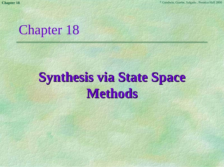

# **Synthesis via State Space Synthesis via State Space Methods Methods**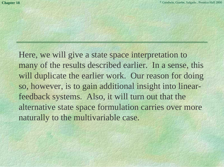Here, we will give a state space interpretation to many of the results described earlier. In a sense, this will duplicate the earlier work. Our reason for doing so, however, is to gain additional insight into linearfeedback systems. Also, it will turn out that the alternative state space formulation carries over more naturally to the multivariable case.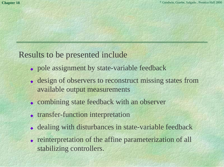### Results to be presented include

- pole assignment by state-variable feedback
- ◆ design of observers to reconstruct missing states from available output measurements
- combining state feedback with an observer
- ◆ transfer-function interpretation
- ◆ dealing with disturbances in state-variable feedback
- ◆ reinterpretation of the affine parameterization of all stabilizing controllers.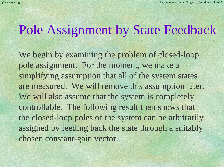## Pole Assignment by State Feedback

We begin by examining the problem of closed-loop pole assignment. For the moment, we make a simplifying assumption that all of the system states are measured. We will remove this assumption later. We will also assume that the system is completely controllable. The following result then shows that the closed-loop poles of the system can be arbitrarily assigned by feeding back the state through a suitably chosen constant-gain vector.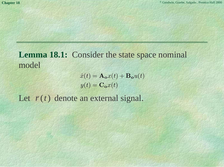### **Lemma 18.1:** Consider the state space nominal model

$$
\dot{x}(t) = \mathbf{A_o}x(t) + \mathbf{B_o}u(t)
$$

$$
y(t) = \mathbf{C_o}x(t)
$$

Let  $\bar{r}(t)$  denote an external signal.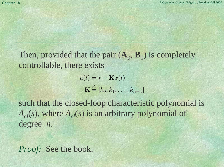Then, provided that the pair  $(A_0, B_0)$  is completely controllable, there exists

> $u(t)=\bar{r} - \mathbf{K}x(t)$  $\mathbf{K} \stackrel{\triangle}{=} [k_0, k_1, \ldots, k_{n-1}]$

such that the closed-loop characteristic polynomial is  $A_{c}(s)$ , where  $A_{c}(s)$  is an arbitrary polynomial of degree *<sup>n</sup>*.

*Proof:* See the book.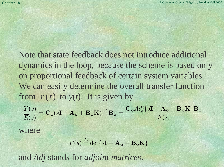Note that state feedback does not introduce additional dynamics in the loop, because the scheme is based only on proportional feedback of certain system variables. We can easily determine the overall transfer function from  $\bar{r}(t)$  to  $y(t)$ . It is given by

*Y* (*s*)  $\overline{\overline{R}(s)}$   $=$  $=\mathbf{C}_\mathbf{o}(s\mathbf{I}-\mathbf{A}_\mathbf{o}+\mathbf{B}_\mathbf{o}\mathbf{K})^{-1}\mathbf{B}_\mathbf{o}=\frac{\mathbf{C}_\mathbf{o} \mathit{Adj}\{s\mathbf{I}-\mathbf{A}_\mathbf{o}+\mathbf{B}_\mathbf{o}\mathbf{K}\}\mathbf{B}_\mathbf{o}}{F(s)}$ 

where

$$
F(s) \stackrel{\triangle}{=} \det\{s\mathbf{I} - \mathbf{A_o} + \mathbf{B_o}\mathbf{K}\}\
$$

and *Adj* stands for *adjoint matrices*.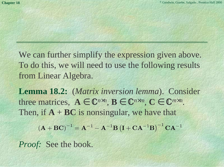We can further simplify the expression given above. To do this, we will need to use the following results from Linear Algebra.

**Lemma 18.2:** (*Matrix inversion lemma*). Consider three matrices,  $A \in \mathbb{C}^{n \times n}$ ,  $B \in \mathbb{C}^{n \times m}$ ,  $C \in \mathbb{C}^{m \times n}$ . Then, if  $A + BC$  is nonsingular, we have that  $\left( {\bf A} + {\bf B} {\bf C} \right)^{-1} = {\bf A}^{-1} - {\bf A}^{-1} {\bf B} \left( {\bf I} + {\bf C} {\bf A}^{-1} {\bf B} \right)^{-1} {\bf C} {\bf A}^{-1}$ 

*Proof:* See the book.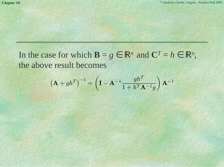In the case for which  $\mathbf{B} = g \in \mathbb{R}^n$  and  $\mathbf{C}^T = h \in \mathbb{R}^n$ , the above result becomes

$$
\left(\mathbf{A} + gh^T\right)^{-1} = \left(\mathbf{I} - \mathbf{A}^{-1} \frac{gh^T}{1 + h^T \mathbf{A}^{-1}g}\right) \mathbf{A}^{-1}
$$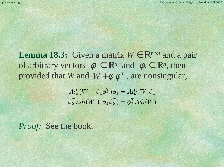**Lemma 18.3:** Given a matrix  $W \in \mathbb{R}^{n \times n}$  and a pair of arbitrary vectors  $\phi_1 \in \mathbb{R}^n$  and  $\phi_2 \in \mathbb{R}^n$ , then provided that *W* and  $W + \phi_1 \phi_2^T$ , are nonsingular,

> $Adj(W + \phi_1 \phi_2^T) \phi_1 = Adj(W) \phi_1$  $\phi_2^T Adj(W + \phi_1 \phi_2^T) = \phi_2^T Adj(W)$

*Proof:* See the book.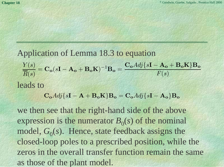#### Application of Lemma 18.3 to equation

*Y* (*s*)  $\overline{\overline{R}(s)}$  =  $=\mathbf{C}_\mathbf{o}(s\mathbf{I}-\mathbf{A}_\mathbf{o}+\mathbf{B}_\mathbf{o}\mathbf{K})^{-1}\mathbf{B}_\mathbf{o}=\frac{\mathbf{C}_\mathbf{o} \mathit{Adj}\{s\mathbf{I}-\mathbf{A}_\mathbf{o}+\mathbf{B}_\mathbf{o}\mathbf{K}\}\mathbf{B}_\mathbf{o}}{F(s)}$ 

leads to

 $\mathbf{C}_{\mathbf{o}}\mathbf{A}d\mathbf{j}\{\mathbf{s}\mathbf{I} - \mathbf{A}_{\mathbf{o}}\}\mathbf{B}_{\mathbf{o}} + \mathbf{B}_{\mathbf{o}}\mathbf{K}\}\mathbf{B}_{\mathbf{o}} = \mathbf{C}_{\mathbf{o}}\mathbf{A}d\mathbf{j}\{\mathbf{s}\mathbf{I} - \mathbf{A}_{\mathbf{o}}\}\mathbf{B}_{\mathbf{o}}$ 

we then see that the right-hand side of the above expression is the numerator  $B_0(s)$  of the nominal model,  $G_0(s)$ . Hence, state feedback assigns the closed-loop poles to a prescribed position, while the zeros in the overall transfer function remain the sameas those of the plant model.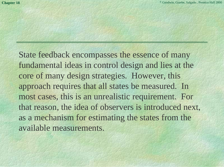State feedback encompasses the essence of many fundamental ideas in control design and lies at the core of many design strategies. However, this approach requires that all states be measured. In most cases, this is an unrealistic requirement. For that reason, the idea of observers is introduced next, as a mechanism for estimating the states from the available measurements.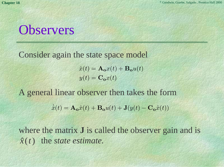### **Observers**

Consider again the state space model

 $\dot{x}(t) = \mathbf{A_o}x(t) + \mathbf{B_o}u(t)$  $y(t) = \mathbf{C}_o x(t)$ 

A general linear observer then takes the form

˙ $\hat{x}(t) = \mathbf{A_o}\hat{x}(t) + \mathbf{B_o}u(t) + \mathbf{J}(y(t) - \mathbf{C_o}\hat{x}(t))$ 

where the matrix **J** is called the observer gain and is  $\hat{x}(t)$  the *state estimate*.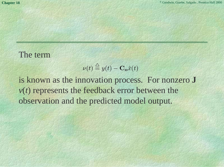#### The term

$$
\nu(t) \stackrel{\triangle}{=} y(t) - \mathbf{C_o} \hat{x}(t)
$$

is known as the innovation process. For nonzero **J** *<sup>v</sup>*(*t*) represents the feedback error between the observation and the predicted model output.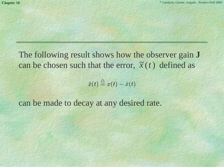The following result shows how the observer gain **J** can be chosen such that the error,  $\tilde{x}(t)$  defined as

 $\tilde{x}(t) \overset{\triangle}{=} x(t) - \hat{x}(t)$ 

can be made to decay at any desired rate.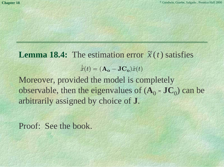**Lemma 18.4:** The estimation error  $\tilde{x}(t)$  satisfies Moreover, provided the model is completely observable, then the eigenvalues of  $(A_0 - JC_0)$  can be arbitrarily assigned by choice of **J**.  $\mathcal{X}% _{M_{1},M_{2}}^{(n)}(\theta)=\left( \sum_{i=1}^{M}\alpha _{i}^{M_{i}}\right) ^{n}$ ˜˙ $(t)=(\mathbf{A_o}-\mathbf{JC_o})\tilde{x}(t)$ 

Proof: See the book.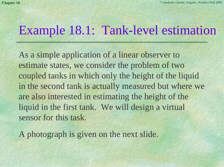### Example 18.1: Tank-level estimation

As a simple application of a linear observer to estimate states, we consider the problem of two coupled tanks in which only the height of the liquid in the second tank is actually measured but where we are also interested in estimating the height of the liquid in the first tank. We will design a virtual sensor for this task.

A photograph is given on the next slide.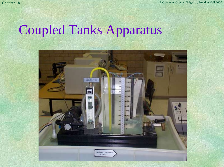## Coupled Tanks Apparatus

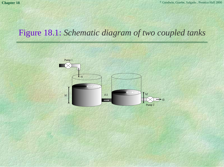### Figure 18.1: *Schematic diagram of two coupled tanks*

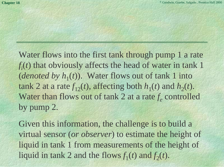Water flows into the first tank through pump 1 a rate  $f_i(t)$  that obviously affects the head of water in tank 1 (*denoted by*  $h_1(t)$ ). Water flows out of tank 1 into tank 2 at a rate  $f_{12}(t)$ , affecting both  $h_1(t)$  and  $h_2(t)$ . Water than flows out of tank 2 at a rate *f*<sub>e</sub> controlled by pump 2.

Given this information, the challenge is to build a virtual sensor (*or observer*) to estimate the height of liquid in tank 1 from measurements of the height of liquid in tank 2 and the flows  $f_1(t)$  and  $f_2(t)$ .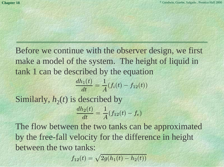Before we continue with the observer design, we first make a model of the system. The height of liquid in tank 1 can be described by the equation

$$
\frac{dh_1(t)}{dt} = \frac{1}{A}(f_i(t) - f_{12}(t))
$$
  
Similarly,  $h_2(t)$  is described by

$$
\frac{dh_2(t)}{dt} = \frac{1}{A}(f_{12}(t) - f_e)
$$

The flow between the two tanks can be approximated by the free-fall velocity for the difference in height between the two tanks:

$$
f_{12}(t) = \sqrt{2g(h_1(t) - h_2(t))}
$$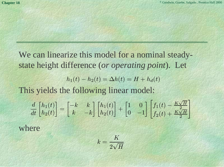We can linearize this model for a nominal steadystate height difference (*or operating point*). Let This yields the following linear model: where $h_1(t) - h_2(t) = \Delta h(t) = H + h_d(t)$ *d dt* $\frac{d}{dt}\begin{bmatrix}h_1(t)\h_2(t)\end{bmatrix}=\begin{bmatrix} -k&k\k&-k \end{bmatrix}\begin{bmatrix}h_1(t)\h_2(t)\end{bmatrix}+\begin{bmatrix} 1&0\0&-1 \end{bmatrix}\begin{bmatrix} f_1(t)-\frac{K\sqrt{H}}{2}\f_2(t)+\frac{K\sqrt{H}}{2} \end{bmatrix}$ 

$$
k=\frac{K}{2\sqrt{H}}
$$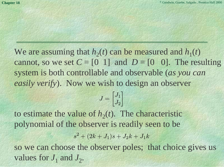We are assuming that  $h_2(t)$  can be measured and  $h_1(t)$ cannot, so we set  $C = \begin{bmatrix} 0 & 1 \end{bmatrix}$  and  $D = \begin{bmatrix} 0 & 0 \end{bmatrix}$ . The resulting system is both controllable and observable (*as you can easily verify*). Now we wish to design an observer

$$
J = \begin{bmatrix} J_1 \\ J_2 \end{bmatrix}
$$

to estimate the value of  $h_2(t)$ . The characteristic polynomial of the observer is readily seen to be  $s^2 + (2k + J_1)s + J_2k + J_1k$ 

so we can choose the observer poles; that choice gives us values for  $J_1$  and  $J_2$ .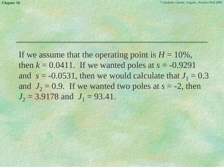If we assume that the operating point is  $H = 10\%$ , then  $k = 0.0411$ . If we wanted poles at  $s = -0.9291$ and  $s = -0.0531$ , then we would calculate that  $J_1 = 0.3$ and  $J_2 = 0.9$ . If we wanted two poles at  $s = -2$ , then  $J_2 = 3.9178$  and  $J_1 = 93.41$ .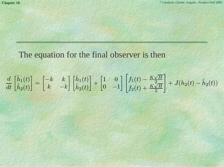### The equation for the final observer is then

$$
\frac{d}{dt} \begin{bmatrix} \hat{h}_1(t) \\ \hat{h}_2(t) \end{bmatrix} = \begin{bmatrix} -k & k \\ k & -k \end{bmatrix} \begin{bmatrix} \hat{h}_1(t) \\ \hat{h}_2(t) \end{bmatrix} + \begin{bmatrix} 1 & 0 \\ 0 & -1 \end{bmatrix} \begin{bmatrix} f_1(t) - \frac{K\sqrt{H}}{2} \\ f_2(t) + \frac{K\sqrt{H}}{2} \end{bmatrix} + J(h_2(t) - \hat{h}_2(t))
$$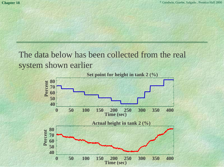The data below has been collected from the real system shown earlier

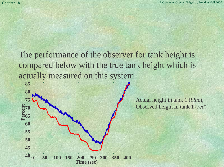The performance of the observer for tank height is compared below with the true tank height which is actually measured on this system.



Actual height in tank 1 (*blue*), Observed height in tank 1 (*red*)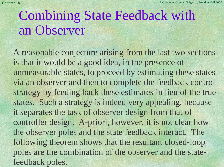## Combining State Feedback with an Observer

A reasonable conjecture arising from the last two sections is that it would be a good idea, in the presence of unmeasurable states, to proceed by estimating these states via an observer and then to complete the feedback control strategy by feeding back these estimates in lieu of the true states. Such a strategy is indeed very appealing, because it separates the task of observer design from that of controller design. A-priori, however, it is not clear how the observer poles and the state feedback interact. The following theorem shows that the resultant closed-loop poles are the combination of the observer and the statefeedback poles.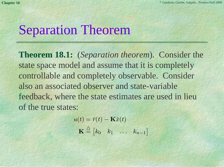## Separation Theorem

**Theorem 18.1:** (*Separation theorem*). Consider the state space model and assume that it is completely controllable and completely observable. Consider also an associated observer and state-variablefeedback, where the state estimates are used in lieu of the true states:

$$
u(t) = \bar{r}(t) - \mathbf{K}\hat{x}(t)
$$

$$
\mathbf{K} \stackrel{\triangle}{=} \begin{bmatrix} k_0 & k_1 & \dots & k_{n-1} \end{bmatrix}
$$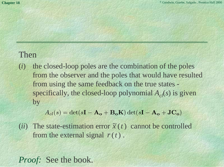#### Then

(*i*) the closed-loop poles are the combination of the poles from the observer and the poles that would have resulted from using the same feedback on the true states specifically, the closed-loop polynomial  $A_{c}(s)$  is given by

 $A_{cl}(s) = \det(s\mathbf{I} - \mathbf{A}_{o} + \mathbf{B}_{o}\mathbf{K}) \det(s\mathbf{I} - \mathbf{A}_{o} + \mathbf{J}\mathbf{C}_{o})$ 

(*ii*) The state-estimation error  $\tilde{x}(t)$  cannot be controlled from the external signal  $\bar{r}(t)$ .

*Proof:* See the book.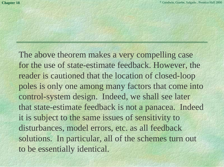The above theorem makes a very compelling case for the use of state-estimate feedback. However, the reader is cautioned that the location of closed-loop poles is only one among many factors that come into control-system design. Indeed, we shall see later that state-estimate feedback is not a panacea. Indeed it is subject to the same issues of sensitivity to disturbances, model errors, etc. as all feedback solutions. In particular, all of the schemes turn out to be essentially identical.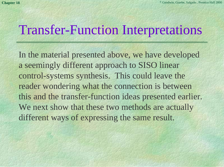### Transfer-Function Interpretations

In the material presented above, we have developed a seemingly different approach to SISO linear control-systems synthesis. This could leave the reader wondering what the connection is between this and the transfer-function ideas presented earlier. We next show that these two methods are actually different ways of expressing the same result.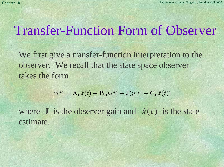### Transfer-Function Form of Observer

We first give a transfer-function interpretation to the observer. We recall that the state space observer takes the form

$$
\dot{\hat{x}}(t) = \mathbf{A_o}\hat{x}(t) + \mathbf{B_o}u(t) + \mathbf{J}(y(t) - \mathbf{C_o}\hat{x}(t))
$$

where **J** is the observer gain and  $\hat{x}(t)$  is the state estimate.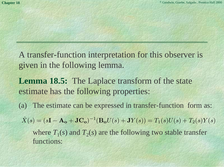- A transfer-function interpretation for this observer is given in the following lemma.
- **Lemma 18.5:** The Laplace transform of the state estimate has the following properties:
- (a) The estimate can be expressed in transfer-function form as:
- where  $T_1(s)$  and  $T_2(s)$  are the following two stable transfer functions: *X* ˆ $f(s)=(s{\bf I}-{\bf A_o}+{\bf J}{\bf C_o})^{-1}({\bf B_o}U(s)+{\bf J}Y(s))=T_1(s)U(s)+T_2(s)Y(s)$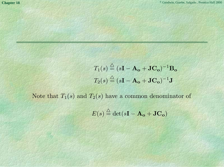$$
T_1(s) \stackrel{\triangle}{=} (s\mathbf{I} - \mathbf{A_o} + \mathbf{J}\mathbf{C_o})^{-1}\mathbf{B_o}
$$

$$
T_2(s) \stackrel{\triangle}{=} (s\mathbf{I} - \mathbf{A_o} + \mathbf{J}\mathbf{C_o})^{-1}\mathbf{J}
$$

Note that  $T_1(s)$  and  $T_2(s)$  have a common denominator of

$$
E(s) \stackrel{\triangle}{=} \det(s\mathbf{I} - \mathbf{A_o} + \mathbf{JC_o})
$$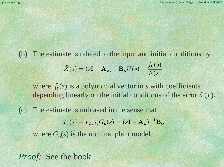(b) The estimate is related to the input and initial conditions by *X* ˆ $(s) = (s{\bf I} - {\bf A_o})^{-1}{\bf B_o}U(s) - \frac{f_0(s)}{E(s)}$ 

where  $f_0(s)$  is a polynomial vector in *s* with coefficients depending linearly on the initial conditions of the error  $\tilde{x}(t)$ .

(c) The estimate is unbiased in the sense that where  $G_0(s)$  is the nominal plant model.  $T_1(s) + T_2(s)G_o(s) = (sI - A_o)^{-1}B_o$ 

*Proof:* See the book.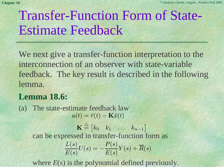# Transfer-Function Form of State-Estimate Feedback

We next give a transfer-function interpretation to the interconnection of an observer with state-variable feedback. The key result is described in the following lemma.

#### **Lemma 18.6:**

(a) The state-estimate feedback law can be expressed in transfer-function form as  $u(t)=\bar{r}(t)-\mathbf{K}\hat{x}(t)$  $\mathbf{K} \stackrel{\triangle}{=} \begin{bmatrix} k_0 & k_1 & \ldots & k_{n-1} \end{bmatrix}$  $\frac{L(s)}{E(s)}U(s) = -\frac{P(s)}{E(s)}Y(s) + \overline{R}(s)$ 

where *E*(*s*) is the polynomial defined previously.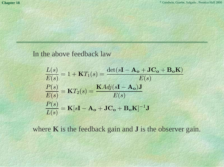#### In the above feedback law

$$
\frac{L(s)}{E(s)} = 1 + \mathbf{K}T_1(s) = \frac{\det(s\mathbf{I} - \mathbf{A_o} + \mathbf{J}\mathbf{C_o} + \mathbf{B_o}\mathbf{K})}{E(s)}
$$

$$
\frac{P(s)}{E(s)} = \mathbf{K}T_2(s) = \frac{\mathbf{K}Adj(s\mathbf{I} - \mathbf{A_o})\mathbf{J}}{E(s)}
$$

$$
\frac{P(s)}{L(s)} = \mathbf{K}[s\mathbf{I} - \mathbf{A_o} + \mathbf{J}\mathbf{C_o} + \mathbf{B_o}\mathbf{K}]^{-1}\mathbf{J}
$$

where **K** is the feedback gain and **J** is the observer gain.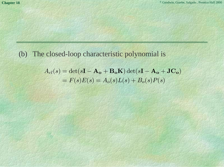#### (b) The closed-loop characteristic polynomial is

$$
A_{cl}(s) = \det(s\mathbf{I} - \mathbf{A_o} + \mathbf{B_o K}) \det(s\mathbf{I} - \mathbf{A_o} + \mathbf{J C_o})
$$
  
=  $F(s)E(s) = A_o(s)L(s) + B_o(s)P(s)$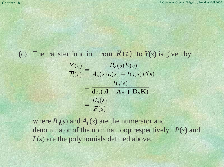#### (c) The transfer function from  $R(t)$  to  $Y(s)$  is given by

$$
\frac{Y(s)}{\overline{R}(s)} = \frac{B_o(s)E(s)}{A_o(s)L(s) + B_o(s)P(s)}
$$

$$
= \frac{B_o(s)}{\det(s\mathbf{I} - \mathbf{A_o} + \mathbf{B_oK})}
$$

$$
= \frac{B_o(s)}{F(s)}
$$

where  $B_0(s)$  and  $A_0(s)$  are the numerator and denominator of the nominal loop respectively. *P*(*s*) and *L*(*s*) are the polynomials defined above.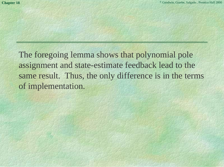The foregoing lemma shows that polynomial pole assignment and state-estimate feedback lead to the same result. Thus, the only difference is in the terms of implementation.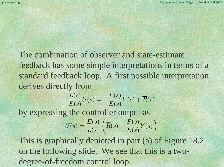The combination of observer and state-estimatefeedback has some simple interpretations in terms of a standard feedback loop. A first possible interpretation derives directly from

$$
\frac{L(s)}{E(s)}U(s) = -\frac{P(s)}{E(s)}Y(s) + \overline{R}(s)
$$
  
by expressing the controller output as  

$$
U(s) = \frac{E(s)}{L(s)}\left(\overline{R}(s) - \frac{P(s)}{E(s)}Y(s)\right)
$$

This is graphically depicted in part (a) of Figure 18.2 on the following slide. We see that this is a twodegree-of-freedom control loop.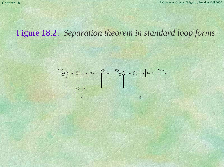### Figure 18.2: *Separation theorem in standard loop forms*

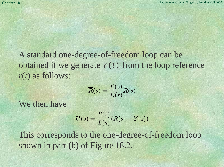A standard one-degree-of-freedom loop can be obtained if we generate  $\bar{r}(t)$  from the loop reference *<sup>r</sup>*(*t*) as follows:

$$
\overline{R}(s) = \frac{P(s)}{E(s)}R(s)
$$

We then have

$$
U(s)=\frac{P(s)}{L(s)}(R(s)-Y(s))
$$

This corresponds to the one-degree-of-freedom loop shown in part (b) of Figure 18.2.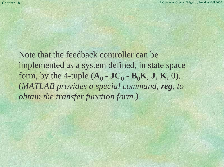Note that the feedback controller can beimplemented as a system defined, in state space form, by the 4-tuple  $(A_0 - JC_0 - B_0K, J, K, 0)$ . (*MATLAB provides a special command, reg, to obtain the transfer function form.)*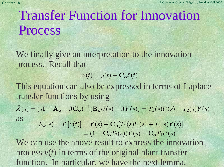# Transfer Function for Innovation Process

We finally give an interpretation to the innovation process. Recall that

$$
\nu(t) = y(t) - \mathbf{C_o}\hat{x}(t)
$$

This equation can also be expressed in terms of Laplace transfer functions by using

as*X* ˆ $f(s)=(s{\bf I}-{\bf A_o}+{\bf J}{\bf C_o})^{-1}({\bf B_o}U(s)+{\bf J}Y(s))=T_1(s)U(s)+T_2(s)Y(s)$ 

 $E_{\nu}(s) = \mathcal{L}[\nu(t)] = Y(s) - C_0[T_1(s)U(s) + T_2(s)Y(s)]$  $= (1 - \mathbf{C_o}T_2(s))Y(s) - \mathbf{C_o}T_1U(s)$ 

We can use the above result to express the innovation process  $v(t)$  in terms of the original plant transfer function. In particular, we have the next lemma.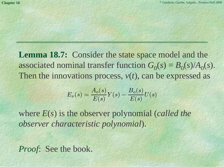**Lemma 18.7:** Consider the state space model and the associated nominal transfer function  $G_0(s) = B_0(s)/A_0(s)$ . Then the innovations process, *v*(*t*), can be expressed as

$$
E_{\nu}(s)=\frac{A_o(s)}{E(s)}Y(s)-\frac{B_o(s)}{E(s)}U(s)
$$

where *E*(*s*) is the observer polynomial (*called the observer characteristic polynomial*).

*Proof*: See the book.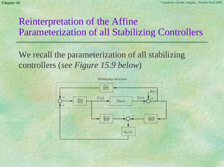### Reinterpretation of the Affine Parameterization of all Stabilizing Controllers

We recall the parameterization of all stabilizing controllers (*see Figure 15.9 below*)

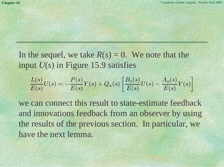In the sequel, we take  $R(s) = 0$ . We note that the input *U*(*s*) in Figure 15.9 satisfies

$$
\frac{L(s)}{E(s)}U(s) = -\frac{P(s)}{E(s)}Y(s) + Q_u(s)\left[\frac{B_o(s)}{E(s)}U(s) - \frac{A_o(s)}{E(s)}Y(s)\right]
$$

we can connect this result to state-estimate feedbackand innovations feedback from an observer by using the results of the previous section. In particular, we have the next lemma.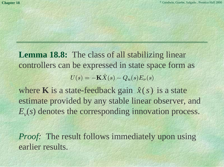**Lemma 18.8:** The class of all stabilizing linear controllers can be expressed in state space form as  $U(s) = -\mathbf{K}\hat{X}$  $(s) - Q_u(s) E_\nu(s)$ 

where **K** is a state-feedback gain  $\hat{x}(s)$  is a state estimate provided by any stable linear observer, and  $E_{\nu}(s)$  denotes the corresponding innovation process.

*Proof:* The result follows immediately upon using earlier results.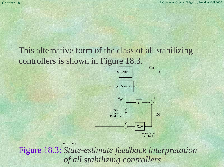### This alternative form of the class of all stabilizing controllers is shown in Figure 18.3.



controllers

Figure 18.3: *State-estimate feedback interpretation of all stabilizing controllers*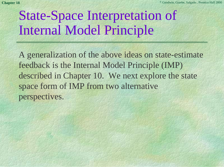# State-Space Interpretation of Internal Model Principle

A generalization of the above ideas on state-estimate feedback is the Internal Model Principle (IMP) described in Chapter 10. We next explore the state space form of IMP from two alternative perspectives.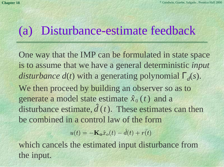## (a) Disturbance-estimate feedback

One way that the IMP can be formulated in state space is to assume that we have a general deterministic *input disturbance d(t)* with a generating polynomial  $\Gamma_d(s)$ . We then proceed by building an observer so as to generate a model state estimate  $\hat{x}_0(t)$  and a disturbance estimate,  $\hat{d}(t)$ . These estimates can then be combined in a control law of the formˆ $\boldsymbol{\hat{\mathfrak{x}}}_0\left(t\right)$ *d t*

> $u(t) = -\mathbf{K_o}\hat{x}_o(t) - \hat{d}$  $\hat{d}(t)+r\bar{(\cdot)}$  $r(t)$

which cancels the estimated input disturbance from the input.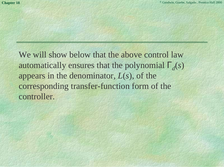We will show below that the above control law automatically ensures that the polynomial  $\Gamma_d(s)$ appears in the denominator, *L*(*s*), of the corresponding transfer-function form of the controller.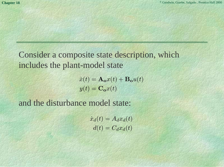Consider a composite state description, which includes the plant-model state

$$
\dot{x}(t) = \mathbf{A_o}x(t) + \mathbf{B_o}u(t)
$$

$$
y(t) = \mathbf{C_o}x(t)
$$

and the disturbance model state:

 $x \$ ˙ $\dot{x}_d(t) = A_d x_d(t)$  $d(t) = C_d x_d(t)$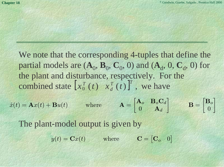We note that the corresponding 4-tuples that define the partial models are  $(A_0, B_0, C_0, 0)$  and  $(A_d, 0, C_d, 0)$  for the plant and disturbance, respectively. For the combined state  $\begin{bmatrix} x_0^T(t) & x_d^T(t) \end{bmatrix}^T$ , we have

$$
\dot{x}(t) = \mathbf{A}x(t) + \mathbf{B}u(t) \qquad \text{where} \qquad \mathbf{A} = \begin{bmatrix} \mathbf{A}_o & \mathbf{B}_o \mathbf{C}_d \\ 0 & \mathbf{A}_d \end{bmatrix} \qquad \mathbf{B} = \begin{bmatrix} \mathbf{B}_o \\ 0 \end{bmatrix}
$$

The plant-model output is given by

 $y(t) = \mathbf{C}x(t)$  where  $\mathbf{C}_o$  0]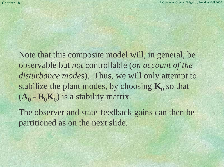Note that this composite model will, in general, be observable but *not* controllable (*on account of the disturbance modes*). Thus, we will only attempt to stabilize the plant modes, by choosing  $K_0$  so that  $(A_0 - B_0 K_0)$  is a stability matrix.

The observer and state-feedback gains can then be partitioned as on the next slide.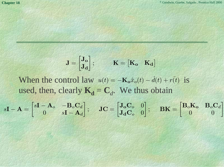$$
\mathbf{J} = \begin{bmatrix} \mathbf{J_o} \\ \mathbf{J_d} \end{bmatrix}; \qquad \mathbf{K} = \begin{bmatrix} \mathbf{K_o} & \mathbf{K_d} \end{bmatrix}
$$

When the control law  $u(t) = -\mathbf{K_o}\hat{x}_o(t) - \hat{d}(t) + r(t)$  is used, then, clearly  $\mathbf{K}_{d} = \mathbf{C}_{d}$ . We thus obtain  $\hat{d}(t)+r\bar{t}$  $r(t)$ 

$$
s\mathbf{I} - \mathbf{A} = \begin{bmatrix} s\mathbf{I} - \mathbf{A}_o & -\mathbf{B}_o \mathbf{C}_d \\ 0 & s\mathbf{I} - \mathbf{A}_d \end{bmatrix}; \quad \mathbf{J}\mathbf{C} = \begin{bmatrix} \mathbf{J}_o \mathbf{C}_o & 0 \\ \mathbf{J}_d \mathbf{C}_o & 0 \end{bmatrix}; \quad \mathbf{B}\mathbf{K} = \begin{bmatrix} \mathbf{B}_o \mathbf{K}_o & \mathbf{B}_o \mathbf{C}_d \\ 0 & 0 \end{bmatrix}
$$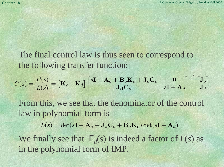The final control law is thus seen to correspond to the following transfer function:

$$
C(s) = \frac{P(s)}{L(s)} = \begin{bmatrix} \mathbf{K}_o & \mathbf{K}_d \end{bmatrix} \begin{bmatrix} s\mathbf{I} - \mathbf{A}_o + \mathbf{B}_o\mathbf{K}_o + \mathbf{J}_o\mathbf{C}_o & 0 \\ \mathbf{J_d\mathbf{C}_o} & s\mathbf{I} - \mathbf{A}_d \end{bmatrix}^{-1} \begin{bmatrix} \mathbf{J}_o \\ \mathbf{J}_d \end{bmatrix}
$$

From this, we see that the denominator of the control law in polynomial form is

 $L(s) = \det(s\mathbf{I} - \mathbf{A}_o + \mathbf{J}_o\mathbf{C}_o + \mathbf{B}_o\mathbf{K}_o)\det(s\mathbf{I} - \mathbf{A}_d)$ 

We finally see that  $\Gamma_d(s)$  is indeed a factor of  $L(s)$  as in the polynomial form of IMP.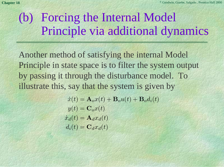## (b) Forcing the Internal Model Principle via additional dynamics

Another method of satisfying the internal Model Principle in state space is to filter the system output by passing it through the disturbance model. To illustrate this, say that the system is given by

$$
\dot{x}(t) = \mathbf{A}_o x(t) + \mathbf{B}_o u(t) + \mathbf{B}_o d_i(t)
$$
  

$$
y(t) = \mathbf{C}_o x(t)
$$
  

$$
\dot{x}_d(t) = \mathbf{A}_d x_d(t)
$$
  

$$
d_i(t) = \mathbf{C}_d x_d(t)
$$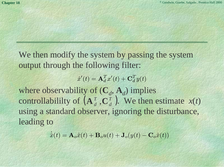We then modify the system by passing the system output through the following filter:

> $\mathcal X$  $\dot{x}'(t) = \mathbf{A}_d^T x'(t) + \mathbf{C}_d^T y(t)$

where observability of  $(C_d, A_d)$  implies controllabililty of  $(\mathbf{A}_{d}^{T}, \mathbf{C}_{d}^{T})$ . We then estimate  $x(t)$ using a standard observer, ignoring the disturbance, leading to

> ˙ $\hat{x}(t) = \mathbf{A}_o \hat{x}(t) + \mathbf{B}_o u(t) + \mathbf{J}_o(y(t) - \mathbf{C}_o \hat{x}(t))$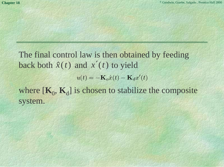The final control law is then obtained by feeding back both  $\hat{x}(t)$  and  $x'(t)$  to yield where  $[K_0, K_d]$  is chosen to stabilize the composite system.  $u(t) = -\mathbf{K}_o\hat{x}(t) - \mathbf{K}_d x'(t)$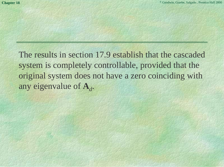The results in section 17.9 establish that the cascaded system is completely controllable, provided that the original system does not have a zero coinciding with any eigenvalue of **A***<sup>d</sup>*.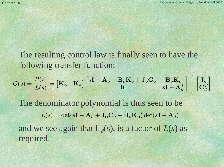The resulting control law is finally seen to have the following transfer function:

$$
C(s) = \frac{P(s)}{L(s)} = \begin{bmatrix} \mathbf{K}_o & \mathbf{K}_d \end{bmatrix} \begin{bmatrix} s\mathbf{I}-\mathbf{A}_o+\mathbf{B}_o\mathbf{K}_o+\mathbf{J}_o\mathbf{C}_o & \mathbf{B}_o\mathbf{K}_o \\ \mathbf{0} & s\mathbf{I}-\mathbf{A}_d^T \end{bmatrix}^{-1} \begin{bmatrix} \mathbf{J}_o \\ \mathbf{C}_d^T \end{bmatrix}
$$

The denominator polynomial is thus seen to be and we see again that  $\Gamma_d(s)$ , is a factor of  $L(s)$  as required.  $L(s) = \det(s\mathbf{I} - \mathbf{A}_o + \mathbf{J}_o\mathbf{C}_o + \mathbf{B}_o\mathbf{K}_o)\det(s\mathbf{I} - \mathbf{A}_d)$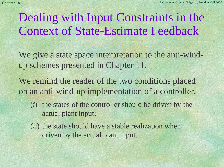## Dealing with Input Constraints in the Context of State-Estimate Feedback

- We give a state space interpretation to the anti-windup schemes presented in Chapter 11.
- We remind the reader of the two conditions placed on an anti-wind-up implementation of a controller,
	- (*i*) the states of the controller should be driven by the actual plant input;
	- (*ii*) the state should have a stable realization when driven by the actual plant input.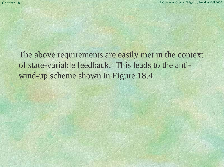The above requirements are easily met in the context of state-variable feedback. This leads to the antiwind-up scheme shown in Figure 18.4.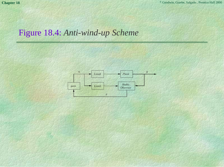#### Figure 18.4: *Anti-wind-up Scheme*

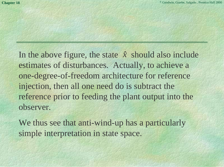In the above figure, the state  $\hat{x}$  should also include estimates of disturbances. Actually, to achieve a one-degree-of-freedom architecture for reference injection, then all one need do is subtract the reference prior to feeding the plant output into the observer. ˆ

We thus see that anti-wind-up has a particularly simple interpretation in state space.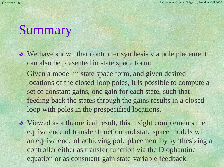# Summary

- ❖ We have shown that controller synthesis via pole placement can also be presented in state space form: Given a model in state space form, and given desired locations of the closed-loop poles, it is possible to compute a set of constant gains, one gain for each state, such that
	- feeding back the states through the gains results in a closed loop with poles in the prespecified locations.
- ❖ Viewed as a theoretical result, this insight complements the equivalence of transfer function and state space models with an equivalence of achieving pole placement by synthesizing a controller either as transfer function via the Diophantine equation or as consntant-gain state-variable feedback.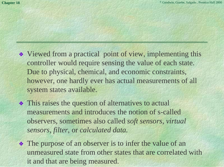- ❖ Viewed from a practical point of view, implementing this controller would require sensing the value of each state. Due to physical, chemical, and economic constraints, however, one hardly ever has actual measurements of all system states available.
- ❖ This raises the question of alternatives to actual measurements and introduces the notion of s-calledobservers, sometimes also called *soft sensors, virtual sensors, filter,* or *calculated data.*
- ❖ The purpose of an observer is to infer the value of an unmeasured state from other states that are correlated with it and that are being measured.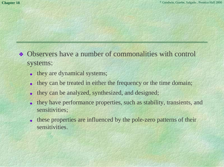- ❖ Observers have a number of commonalities with control systems:
	- they are dynamical systems;
	- ◆they can be treated in either the frequency or the time domain;
	- ◆they can be analyzed, synthesized, and designed;
	- ◆ they have performance properties, such as stability, transients, and sensitivities;
	- ◆ these properties are influenced by the pole-zero patterns of their sensitivities.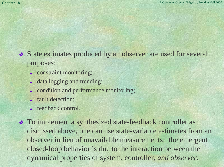- ❖ State estimates produced by an observer are used for several purposes:
	- ◆ constraint monitoring;
	- data logging and trending;
	- ◆condition and performance monitoring;
	- ◆ fault detection;
	- ◆ feedback control.
- ❖ To implement a synthesized state-feedback controller as discussed above, one can use state-variable estimates from an observer in lieu of unavailable measurements; the emergent closed-loop behavior is due to the interaction between the dynamical properties of system, controller, *and observer*.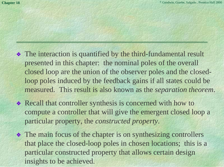- ❖ The interaction is quantified by the third-fundamental result presented in this chapter: the nominal poles of the overall closed loop are the union of the observer poles and the closedloop poles induced by the feedback gains if all states could be measured. This result is also known as the *separation theorem*.
- ❖ Recall that controller synthesis is concerned with how to compute a controller that will give the emergent closed loop a particular property, the *constructed property*.
- ❖ The main focus of the chapter is on synthesizing controllers that place the closed-loop poles in chosen locations; this is a particular constructed property that allows certain design insights to be achieved.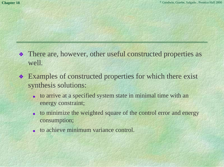- ❖ There are, however, other useful constructed properties as well.
- ❖ Examples of constructed properties for which there exist synthesis solutions:
	- ◆ to arrive at a specified system state in minimal time with an energy constraint;
	- ◆ to minimize the weighted square of the control error and energy consumption;
	- ◆ to achieve minimum variance control.